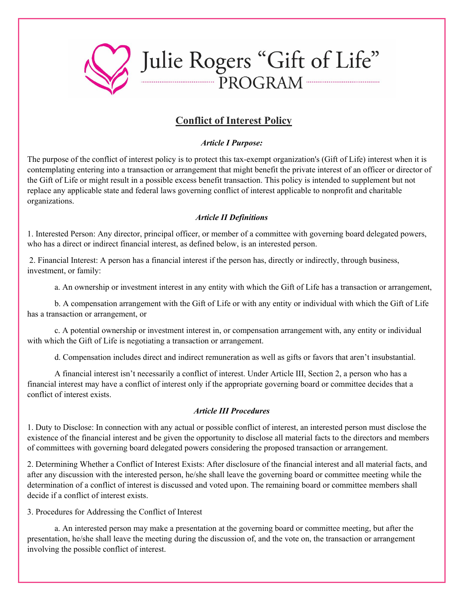

# **Conflict of Interest Policy**

#### *Article I Purpose:*

The purpose of the conflict of interest policy is to protect this tax-exempt organization's (Gift of Life) interest when it is contemplating entering into a transaction or arrangement that might benefit the private interest of an officer or director of the Gift of Life or might result in a possible excess benefit transaction. This policy is intended to supplement but not replace any applicable state and federal laws governing conflict of interest applicable to nonprofit and charitable organizations.

# *Article II Definitions*

1. Interested Person: Any director, principal officer, or member of a committee with governing board delegated powers, who has a direct or indirect financial interest, as defined below, is an interested person.

2. Financial Interest: A person has a financial interest if the person has, directly or indirectly, through business, investment, or family:

a. An ownership or investment interest in any entity with which the Gift of Life has a transaction or arrangement,

b. A compensation arrangement with the Gift of Life or with any entity or individual with which the Gift of Life has a transaction or arrangement, or

c. A potential ownership or investment interest in, or compensation arrangement with, any entity or individual with which the Gift of Life is negotiating a transaction or arrangement.

d. Compensation includes direct and indirect remuneration as well as gifts or favors that aren't insubstantial.

A financial interest isn't necessarily a conflict of interest. Under Article III, Section 2, a person who has a financial interest may have a conflict of interest only if the appropriate governing board or committee decides that a conflict of interest exists.

# *Article III Procedures*

1. Duty to Disclose: In connection with any actual or possible conflict of interest, an interested person must disclose the existence of the financial interest and be given the opportunity to disclose all material facts to the directors and members of committees with governing board delegated powers considering the proposed transaction or arrangement.

2. Determining Whether a Conflict of Interest Exists: After disclosure of the financial interest and all material facts, and after any discussion with the interested person, he/she shall leave the governing board or committee meeting while the determination of a conflict of interest is discussed and voted upon. The remaining board or committee members shall decide if a conflict of interest exists.

3. Procedures for Addressing the Conflict of Interest

a. An interested person may make a presentation at the governing board or committee meeting, but after the presentation, he/she shall leave the meeting during the discussion of, and the vote on, the transaction or arrangement involving the possible conflict of interest.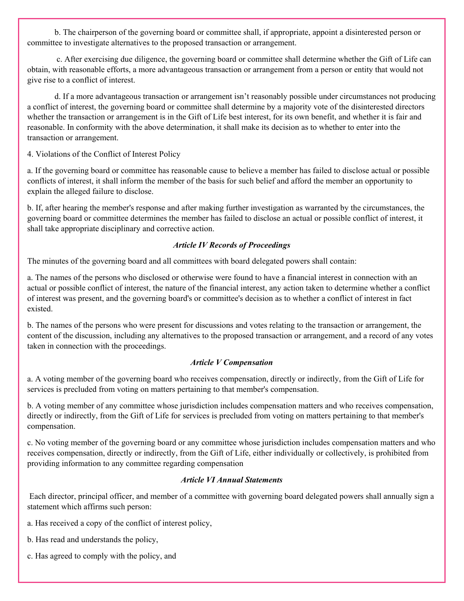b. The chairperson of the governing board or committee shall, if appropriate, appoint a disinterested person or committee to investigate alternatives to the proposed transaction or arrangement.

c. After exercising due diligence, the governing board or committee shall determine whether the Gift of Life can obtain, with reasonable efforts, a more advantageous transaction or arrangement from a person or entity that would not give rise to a conflict of interest.

d. If a more advantageous transaction or arrangement isn't reasonably possible under circumstances not producing a conflict of interest, the governing board or committee shall determine by a majority vote of the disinterested directors whether the transaction or arrangement is in the Gift of Life best interest, for its own benefit, and whether it is fair and reasonable. In conformity with the above determination, it shall make its decision as to whether to enter into the transaction or arrangement.

4. Violations of the Conflict of Interest Policy

a. If the governing board or committee has reasonable cause to believe a member has failed to disclose actual or possible conflicts of interest, it shall inform the member of the basis for such belief and afford the member an opportunity to explain the alleged failure to disclose.

b. If, after hearing the member's response and after making further investigation as warranted by the circumstances, the governing board or committee determines the member has failed to disclose an actual or possible conflict of interest, it shall take appropriate disciplinary and corrective action.

# *Article IV Records of Proceedings*

The minutes of the governing board and all committees with board delegated powers shall contain:

a. The names of the persons who disclosed or otherwise were found to have a financial interest in connection with an actual or possible conflict of interest, the nature of the financial interest, any action taken to determine whether a conflict of interest was present, and the governing board's or committee's decision as to whether a conflict of interest in fact existed.

b. The names of the persons who were present for discussions and votes relating to the transaction or arrangement, the content of the discussion, including any alternatives to the proposed transaction or arrangement, and a record of any votes taken in connection with the proceedings.

# *Article V Compensation*

a. A voting member of the governing board who receives compensation, directly or indirectly, from the Gift of Life for services is precluded from voting on matters pertaining to that member's compensation.

b. A voting member of any committee whose jurisdiction includes compensation matters and who receives compensation, directly or indirectly, from the Gift of Life for services is precluded from voting on matters pertaining to that member's compensation.

c. No voting member of the governing board or any committee whose jurisdiction includes compensation matters and who receives compensation, directly or indirectly, from the Gift of Life, either individually or collectively, is prohibited from providing information to any committee regarding compensation

# *Article VI Annual Statements*

Each director, principal officer, and member of a committee with governing board delegated powers shall annually sign a statement which affirms such person:

- a. Has received a copy of the conflict of interest policy,
- b. Has read and understands the policy,
- c. Has agreed to comply with the policy, and